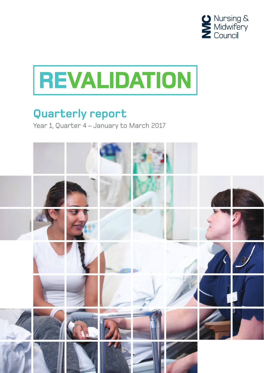



# **Quarterly report**

Year 1, Quarter 4 – January to March 2017

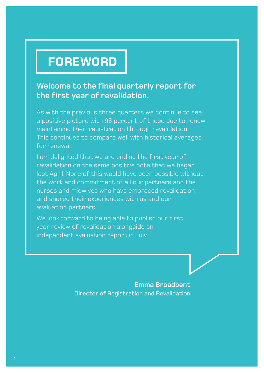# **FOREWORD**

### **Welcome to the final quarterly report for the first year of revalidation.**

As with the previous three quarters we continue to see a positive picture with 93 percent of those due to renew maintaining their registration through revalidation. This continues to compare well with historical averages for renewal.

I am delighted that we are ending the first year of revalidation on the same positive note that we began last April. None of this would have been possible without the work and commitment of all our partners and the nurses and midwives who have embraced revalidation and shared their experiences with us and our evaluation partners.

We look forward to being able to publish our first year review of revalidation alongside an independent evaluation report in July.

> **Emma Broadbent** Director of Registration and Revalidation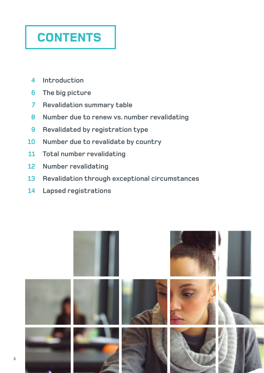# **CONTENTS**

- **4 Introduction**
- **6 The big picture**
- **7 Revalidation summary table**
- **8 Number due to renew vs. number revalidating**
- **9 Revalidated by registration type**
- **10 Number due to revalidate by country**
- **11 Total number revalidating**
- **12 Number revalidating**
- **13 Revalidation through exceptional circumstances**
- **14 Lapsed registrations**

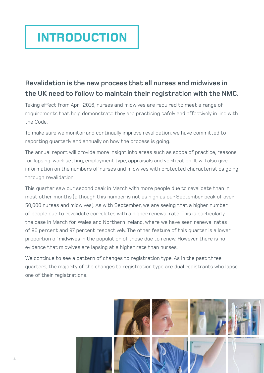# **INTRODUCTION**

## **Revalidation is the new process that all nurses and midwives in the UK need to follow to maintain their registration with the NMC.**

Taking effect from April 2016, nurses and midwives are required to meet a range of requirements that help demonstrate they are practising safely and effectively in line with the Code.

To make sure we monitor and continually improve revalidation, we have committed to reporting quarterly and annually on how the process is going.

The annual report will provide more insight into areas such as scope of practice, reasons for lapsing, work setting, employment type, appraisals and verification. It will also give information on the numbers of nurses and midwives with protected characteristics going through revalidation.

This quarter saw our second peak in March with more people due to revalidate than in most other months (although this number is not as high as our September peak of over 50,000 nurses and midwives). As with September, we are seeing that a higher number of people due to revalidate correlates with a higher renewal rate. This is particularly the case in March for Wales and Northern Ireland, where we have seen renewal rates of 96 percent and 97 percent respectively. The other feature of this quarter is a lower proportion of midwives in the population of those due to renew. However there is no evidence that midwives are lapsing at a higher rate than nurses.

We continue to see a pattern of changes to registration type. As in the past three quarters, the majority of the changes to registration type are dual registrants who lapse one of their registrations.

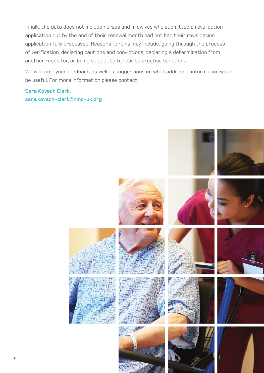Finally, the data does not include nurses and midwives who submitted a revalidation application but by the end of their renewal month had not had their revalidation application fully processed. Reasons for this may include: going through the process of verification, declaring cautions and convictions, declaring a determination from another regulator, or being subject to fitness to practise sanctions.

We welcome your feedback, as well as suggestions on what additional information would be useful. For more information please contact:

**Sara Kovach Clark, sara.kovach-clark@nmc-uk.org**

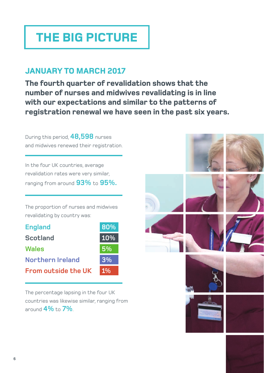# **THE BIG PICTURE**

## **January to MARCH 2017**

**The fourth quarter of revalidation shows that the number of nurses and midwives revalidating is in line with our expectations and similar to the patterns of registration renewal we have seen in the past six years.** 

During this period, **48,598** nurses and midwives renewed their registration.

In the four UK countries, average revalidation rates were very similar, ranging from around **93%** to **95%.**

The proportion of nurses and midwives revalidating by country was:

| <b>England</b>             | 80% |
|----------------------------|-----|
| <b>Scotland</b>            | 10% |
| <b>Wales</b>               | 5%  |
| <b>Northern Ireland</b>    | 3%  |
| <b>From outside the UK</b> | 1%  |

The percentage lapsing in the four UK countries was likewise similar, ranging from around **4%** to **7%**.

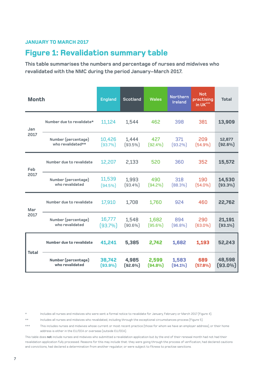### **Figure 1: Revalidation summary table**

**This table summarises the numbers and percentage of nurses and midwives who revalidated with the NMC during the period January–March 2017.**

| <b>Month</b> |                                          | <b>England</b>       | <b>Scotland</b>     | <b>Wales</b>        | Northern<br><b>Ireland</b> | <b>Not</b><br>practising<br>in UK*** | <b>Total</b>         |
|--------------|------------------------------------------|----------------------|---------------------|---------------------|----------------------------|--------------------------------------|----------------------|
| Jan          | Number due to revalidate*                | 11,124               | 1,544               | 462                 | 398                        | 381                                  | 13,909               |
| 2017         | Number (percentage)<br>who revalidated** | 10,426<br>(93.7%)    | 1,444<br>$(93.5\%)$ | 427<br>(92.4%)      | 371<br>$(93.2\%)$          | 209<br>[54.9%]                       | 12,877<br>(92.6%)    |
| Feb          | Number due to revalidate                 | 12,207               | 2,133               | 520                 | 360                        | 352                                  | 15,572               |
| 2017         | Number (percentage)<br>who revalidated   | 11,539<br>$(94.5\%)$ | 1,993<br>(93.4%)    | 490<br>[94.2%]      | 318<br>[88.3%]             | 190<br>$[54.0\%]$                    | 14,530<br>$(93.3\%)$ |
| Mar          | Number due to revalidate                 | 17,910               | 1,708               | 1,760               | 924                        | 460                                  | 22,762               |
| 2017         | Number (percentage)<br>who revalidated   | 16,777<br>(93.7%)    | 1,548<br>$(90.6\%)$ | 1,682<br>$(95.6\%)$ | 894<br>(96.8%)             | 290<br>$(63.0\%)$                    | 21,191<br>$(93.1\%)$ |
| <b>Total</b> | <b>Number due to revalidate</b>          | 41,241               | 5,385               | 2,742               | 1,682                      | 1,193                                | 52,243               |
|              | Number (percentage)<br>who revalidated   | 38,742<br>$(93.9\%)$ | 4,985<br>(92.6%)    | 2,599<br>$(94.8\%)$ | 1,583<br>$(94.1\%)$        | 689<br>(57.8%)                       | 48,598<br>$(93.0\%)$ |

Includes all nurses and midwives who were sent a formal notice to revalidate for January, February or March 2017 (Figure 4).

\*\* Includes all nurses and midwives who revalidated, including through the exceptional circumstances process (Figure 5).

\*\*\* This includes nurses and midwives whose current or most recent practice (those for whom we have an employer address), or their home address is either in the EU/EEA or overseas (outside EU/EEA).

This table does **not** include nurses and midwives who submitted a revalidation application but by the end of their renewal month had not had their revalidation application fully processed. Reasons for this may include that: they were going through the process of verification, had declared cautions and convictions, had declared a determination from another regulator, or were subject to fitness to practise sanctions.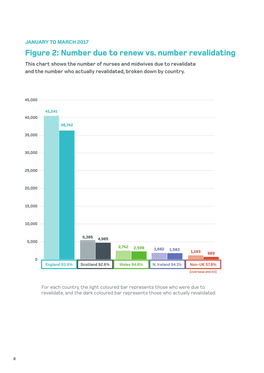## **Figure 2: Number due to renew vs. number revalidating**

**This chart shows the number of nurses and midwives due to revalidate and the number who actually revalidated, broken down by country.**



For each country, the light coloured bar represents those who were due to revalidate, and the dark coloured bar represents those who actually revalidated.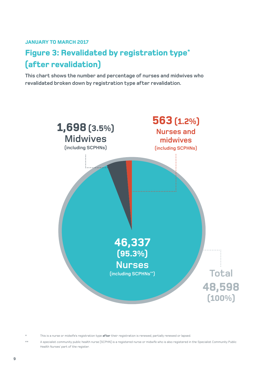# **Figure 3: Revalidated by registration type\* (after revalidation)**

**This chart shows the number and percentage of nurses and midwives who revalidated broken down by registration type after revalidation.**



\* This is a nurse or midwife's registration type **after** their registration is renewed, partially renewed or lapsed.

A specialist community public health nurse (SCPHN) is a registered nurse or midwife who is also registered in the Specialist Community Public Health Nurses' part of the register.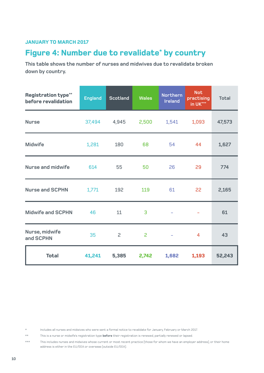### **Figure 4: Number due to revalidate\* by country**

**This table shows the number of nurses and midwives due to revalidate broken down by country.**

| <b>Registration type**</b><br>before revalidation | <b>England</b> | <b>Scotland</b> | <b>Wales</b> | <b>Northern</b><br><b>Ireland</b> | <b>Not</b><br>practising<br>in UK*** | <b>Total</b> |
|---------------------------------------------------|----------------|-----------------|--------------|-----------------------------------|--------------------------------------|--------------|
| <b>Nurse</b>                                      | 37,494         | 4,945           | 2,500        | 1,541                             | 1,093                                | 47,573       |
| <b>Midwife</b>                                    | 1,281          | 180             | 68<br>54     |                                   | 44                                   | 1,627        |
| <b>Nurse and midwife</b>                          | 614            | 55              | 50           | 26                                | 29                                   | 774          |
| <b>Nurse and SCPHN</b>                            | 1,771          | 192             | 119          | 61                                | 22                                   | 2,165        |
| <b>Midwife and SCPHN</b>                          | 46             | 11              | 3            |                                   |                                      | 61           |
| Nurse, midwife<br>and SCPHN                       | 35             | 2               | 2            | $\overline{\phantom{a}}$          | $\overline{4}$                       | 43           |
| <b>Total</b>                                      | 41,241         | 5,385           | 2,742        | 1,682                             | 1,193                                | 52,243       |

\* Includes all nurses and midwives who were sent a formal notice to revalidate for January, February or March 2017.

\*\* This is a nurse or midwife's registration type **before** their registration is renewed, partially renewed or lapsed.

\*\*\* This includes nurses and midwives whose current or most recent practice (those for whom we have an employer address), or their home address is either in the EU/EEA or overseas (outside EU/EEA).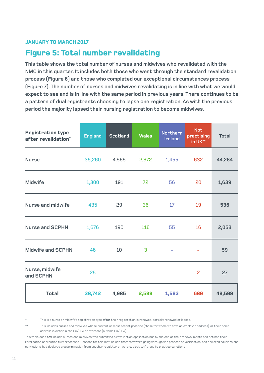### **Figure 5: Total number revalidating**

**This table shows the total number of nurses and midwives who revalidated with the NMC in this quarter. It includes both those who went through the standard revalidation process (Figure 6) and those who completed our exceptional circumstances process (Figure 7). The number of nurses and midwives revalidating is in line with what we would expect to see and is in line with the same period in previous years. There continues to be a pattern of dual registrants choosing to lapse one registration. As with the previous period the majority lapsed their nursing registration to become midwives.**

| <b>Registration type</b><br>after revalidation* | <b>England</b> | <b>Scotland</b> | <b>Wales</b> | <b>Northern</b><br><b>Ireland</b> | <b>Not</b><br>practising<br>in UK** | <b>Total</b> |
|-------------------------------------------------|----------------|-----------------|--------------|-----------------------------------|-------------------------------------|--------------|
| <b>Nurse</b>                                    | 35,260         | 4,565<br>2,372  |              | 1,455                             | 632                                 | 44,284       |
| <b>Midwife</b>                                  | 1,300          | 191             | 72           | 56                                |                                     | 1,639        |
| <b>Nurse and midwife</b>                        | 435            | 29              | 36           | 17                                | 19                                  | 536          |
| <b>Nurse and SCPHN</b>                          | 1,676          | 190             | 116          | 55                                | 16                                  | 2,053        |
| <b>Midwife and SCPHN</b>                        | 46             | 10              | 3            |                                   |                                     | 59           |
| Nurse, midwife<br>25<br>and SCPHN               |                |                 | ۰            |                                   | 2                                   | 27           |
| <b>Total</b>                                    | 38,742         | 4,985           | 2,599        | 1,583                             | 689                                 | 48,598       |

\* This is a nurse or midwife's registration type **after** their registration is renewed, partially renewed or lapsed.

\*\* This includes nurses and midwives whose current or most recent practice (those for whom we have an employer address), or their home address is either in the EU/EEA or overseas (outside EU/EEA).

This table does **not** include nurses and midwives who submitted a revalidation application but by the end of their renewal month had not had their revalidation application fully processed. Reasons for this may include that: they were going through the process of verification, had declared cautions and convictions, had declared a determination from another regulator, or were subject to fitness to practise sanctions.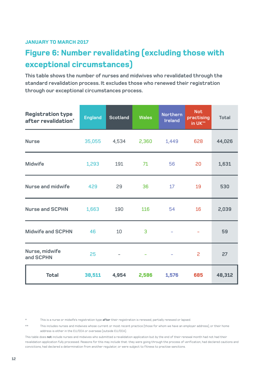# **Figure 6: Number revalidating (excluding those with exceptional circumstances)**

**This table shows the number of nurses and midwives who revalidated through the standard revalidation process. It excludes those who renewed their registration through our exceptional circumstances process.** 

| <b>Registration type</b><br>after revalidation* | <b>England</b> | <b>Scotland</b> | <b>Wales</b> | <b>Northern</b><br><b>Ireland</b> | <b>Not</b><br>practising<br>in UK** | <b>Total</b> |
|-------------------------------------------------|----------------|-----------------|--------------|-----------------------------------|-------------------------------------|--------------|
| <b>Nurse</b>                                    |                | 35,055 4,534    | 2,360        | 1,449                             | 628                                 | 44,026       |
| <b>Midwife</b>                                  | 1,293          | 191             | 71<br>56     |                                   | 20                                  | 1,631        |
| <b>Nurse and midwife</b>                        | 429            | 29              | 36<br>17     |                                   | 19                                  | 530          |
| <b>Nurse and SCPHN</b>                          | 1,663          | 190             | 116          | 54                                | 16                                  | 2,039        |
| <b>Midwife and SCPHN</b>                        | 46             |                 | 3            |                                   |                                     | 59           |
| Nurse, midwife<br>and SCPHN                     | 25             |                 |              |                                   | 2                                   | 27           |
| <b>Total</b>                                    | 38,511         | 4,954           | 2,586        | 1,576                             | 685                                 | 48,312       |

\* This is a nurse or midwife's registration type **after** their registration is renewed, partially renewed or lapsed.

\*\* This includes nurses and midwives whose current or most recent practice (those for whom we have an employer address), or their home address is either in the EU/EEA or overseas (outside EU/EEA).

This table does **not** include nurses and midwives who submitted a revalidation application but by the end of their renewal month had not had their revalidation application fully processed. Reasons for this may include that: they were going through the process of verification, had declared cautions and convictions, had declared a determination from another regulator, or were subject to fitness to practise sanctions.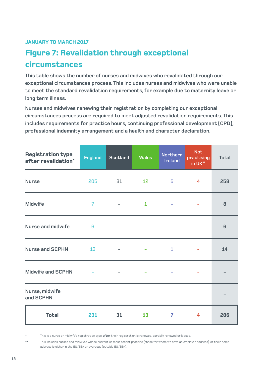# **Figure 7: Revalidation through exceptional circumstances**

**This table shows the number of nurses and midwives who revalidated through our exceptional circumstances process. This includes nurses and midwives who were unable to meet the standard revalidation requirements, for example due to maternity leave or long term illness.**

**Nurses and midwives renewing their registration by completing our exceptional circumstances process are required to meet adjusted revalidation requirements. This includes requirements for practice hours, continuing professional development (CPD), professional indemnity arrangement and a health and character declaration.**

| <b>Registration type</b><br>after revalidation* | <b>England</b> | <b>Scotland</b>          | <b>Wales</b>    | Northern<br><b>Ireland</b> | <b>Not</b><br>practising<br>in UK** | <b>Total</b>   |
|-------------------------------------------------|----------------|--------------------------|-----------------|----------------------------|-------------------------------------|----------------|
| <b>Nurse</b>                                    | 205            | 31                       | 12 <sup>°</sup> | 6                          | $\overline{4}$                      | 258            |
| <b>Midwife</b>                                  | $\overline{7}$ | $\overline{\phantom{a}}$ | $\mathbf{1}$    | $\overline{\phantom{m}}$   |                                     | 8              |
| <b>Nurse and midwife</b>                        | 6              |                          |                 |                            |                                     | $6\phantom{1}$ |
| <b>Nurse and SCPHN</b>                          | 13             | $\overline{\phantom{a}}$ | $\sim$          | $\mathbf{1}$               |                                     | 14             |
| <b>Midwife and SCPHN</b>                        |                |                          |                 |                            |                                     |                |
| Nurse, midwife<br>and SCPHN                     |                | $\overline{\phantom{m}}$ |                 | -                          |                                     |                |
| <b>Total</b>                                    | 231            | 31                       | 13              | 7                          | 4                                   | 286            |

\* This is a nurse or midwife's registration type **after** their registration is renewed, partially renewed or lapsed.

\*\* This includes nurses and midwives whose current or most recent practice (those for whom we have an employer address), or their home address is either in the EU/EEA or overseas (outside EU/EEA).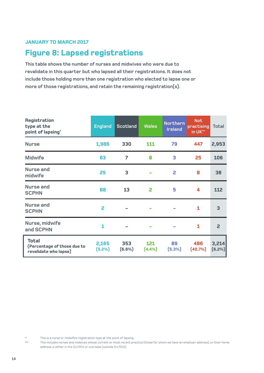### **Figure 8: Lapsed registrations**

**This table shows the number of nurses and midwives who were due to revalidate in this quarter but who lapsed all their registrations. It does not include those holding more than one registration who elected to lapse one or more of those registrations, and retain the remaining registration(s).** 

| Registration<br>type at the<br>point of lapsing*                     | <b>England</b>  | <b>Scotland</b>  | <b>Wales</b>  | <b>Northern</b><br><b>Ireland</b> | <b>Not</b><br>practising<br>in UK** | <b>Total</b>    |
|----------------------------------------------------------------------|-----------------|------------------|---------------|-----------------------------------|-------------------------------------|-----------------|
| <b>Nurse</b>                                                         | 1,986           | 330              | 111           | 79                                | 447                                 | 2,953           |
| <b>Midwife</b>                                                       | 63              | 7                | 8             | 3                                 | 25                                  | 106             |
| <b>Nurse and</b><br>midwife                                          | 25              | 3                |               | 2                                 | 8                                   | 38              |
| <b>Nurse and</b><br><b>SCPHN</b>                                     | 88              | 13               | 2             | 5                                 | 4                                   | 112             |
| <b>Nurse and</b><br><b>SCPHN</b>                                     | 2               |                  |               |                                   | 1                                   | 3               |
| Nurse, midwife<br>and SCPHN                                          | 1               |                  |               |                                   | 1                                   | $\overline{2}$  |
| <b>Total</b><br>(Percentage of those due to<br>revalidate who lapse) | 2,165<br>(5.2%) | 353<br>$(6.6\%)$ | 121<br>(4.4%) | 89<br>$(5.3\%)$                   | 486<br>(40.7%                       | 3,214<br>(6.2%) |

This is a nurse or midwife's registration type at the point of lapsing.

\*\* This includes nurses and midwives whose current or most recent practice (those for whom we have an employer address), or their home address is either in the EU/EEA or overseas (outside EU/EEA).